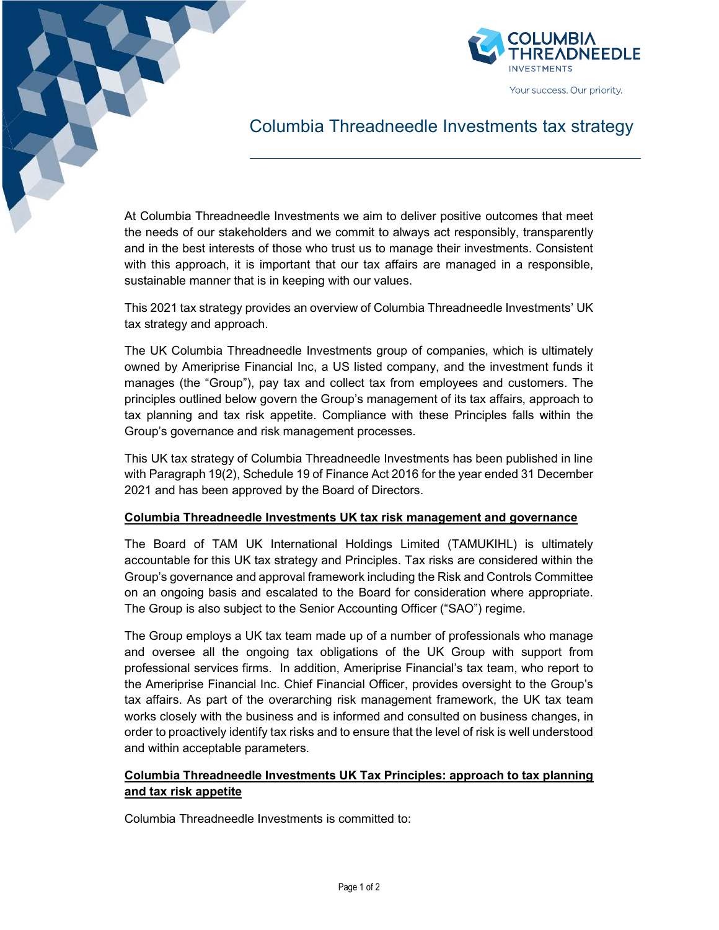

## Columbia Threadneedle Investments tax strategy

At Columbia Threadneedle Investments we aim to deliver positive outcomes that meet the needs of our stakeholders and we commit to always act responsibly, transparently and in the best interests of those who trust us to manage their investments. Consistent with this approach, it is important that our tax affairs are managed in a responsible, sustainable manner that is in keeping with our values.

This 2021 tax strategy provides an overview of Columbia Threadneedle Investments' UK tax strategy and approach.

The UK Columbia Threadneedle Investments group of companies, which is ultimately owned by Ameriprise Financial Inc, a US listed company, and the investment funds it manages (the "Group"), pay tax and collect tax from employees and customers. The principles outlined below govern the Group's management of its tax affairs, approach to tax planning and tax risk appetite. Compliance with these Principles falls within the Group's governance and risk management processes.

This UK tax strategy of Columbia Threadneedle Investments has been published in line with Paragraph 19(2), Schedule 19 of Finance Act 2016 for the year ended 31 December 2021 and has been approved by the Board of Directors.

## Columbia Threadneedle Investments UK tax risk management and governance

The Board of TAM UK International Holdings Limited (TAMUKIHL) is ultimately accountable for this UK tax strategy and Principles. Tax risks are considered within the Group's governance and approval framework including the Risk and Controls Committee on an ongoing basis and escalated to the Board for consideration where appropriate. The Group is also subject to the Senior Accounting Officer ("SAO") regime.

The Group employs a UK tax team made up of a number of professionals who manage and oversee all the ongoing tax obligations of the UK Group with support from professional services firms. In addition, Ameriprise Financial's tax team, who report to the Ameriprise Financial Inc. Chief Financial Officer, provides oversight to the Group's tax affairs. As part of the overarching risk management framework, the UK tax team works closely with the business and is informed and consulted on business changes, in order to proactively identify tax risks and to ensure that the level of risk is well understood and within acceptable parameters.

## Columbia Threadneedle Investments UK Tax Principles: approach to tax planning and tax risk appetite

Columbia Threadneedle Investments is committed to: